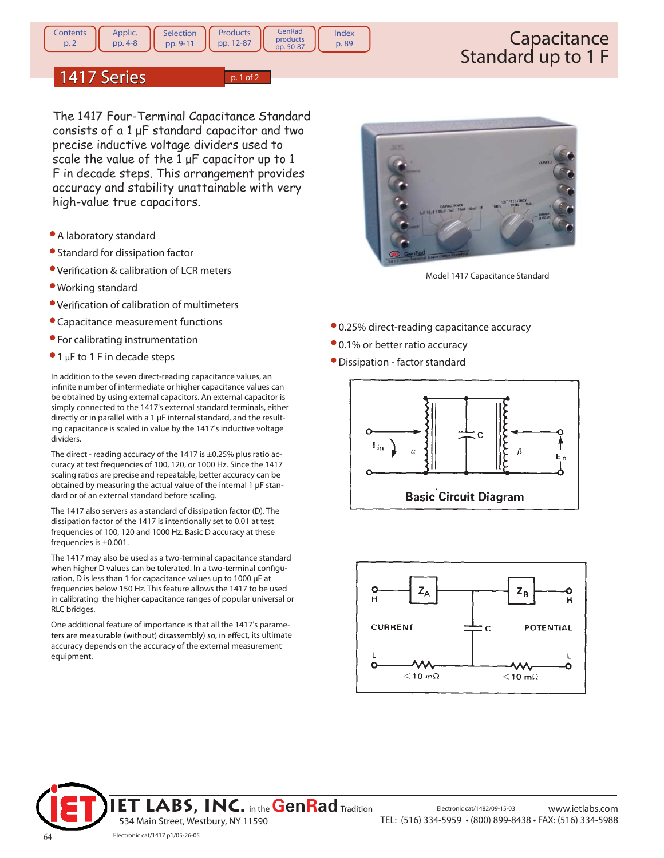**GenRad** products<br>pp. 50-87 Index p. 89

## 1417 Series  $\sqrt{p.1 of 2}$

**Products** pp. 12-87

The 1417 Four-Terminal Capacitance Standard consists of a 1 μF standard capacitor and two precise inductive voltage dividers used to scale the value of the  $1 \mu F$  capacitor up to  $1$ F in decade steps. This arrangement provides accuracy and stability unattainable with very high-value true capacitors.

- A laboratory standard
- Standard for dissipation factor
- Verification & calibration of LCR meters
- Working standard
- Verification of calibration of multimeters
- Capacitance measurement functions
- For calibrating instrumentation
- $\bullet$  1 µF to 1 F in decade steps

In addition to the seven direct-reading capacitance values, an infinite number of intermediate or higher capacitance values can be obtained by using external capacitors. An external capacitor is simply connected to the 1417's external standard terminals, either directly or in parallel with a 1 µF internal standard, and the resulting capacitance is scaled in value by the 1417's inductive voltage dividers.

The direct - reading accuracy of the 1417 is  $\pm$ 0.25% plus ratio accuracy at test frequencies of 100, 120, or 1000 Hz. Since the 1417 scaling ratios are precise and repeatable, better accuracy can be obtained by measuring the actual value of the internal 1 µF standard or of an external standard before scaling.

The 1417 also servers as a standard of dissipation factor (D). The dissipation factor of the 1417 is intentionally set to 0.01 at test frequencies of 100, 120 and 1000 Hz. Basic D accuracy at these frequencies is ±0.001.

The 1417 may also be used as a two-terminal capacitance standard when higher D values can be tolerated. In a two-terminal configuration, D is less than 1 for capacitance values up to 1000 µF at frequencies below 150 Hz. This feature allows the 1417 to be used in calibrating the higher capacitance ranges of popular universal or RLC bridges.

One additional feature of importance is that all the 1417's parameters are measurable (without) disassembly) so, in effect, its ultimate accuracy depends on the accuracy of the external measurement equipment.



Model 1417 Capacitance Standard

- 0.25% direct-reading capacitance accuracy
- 0.1% or better ratio accuracy
- Dissipation factor standard